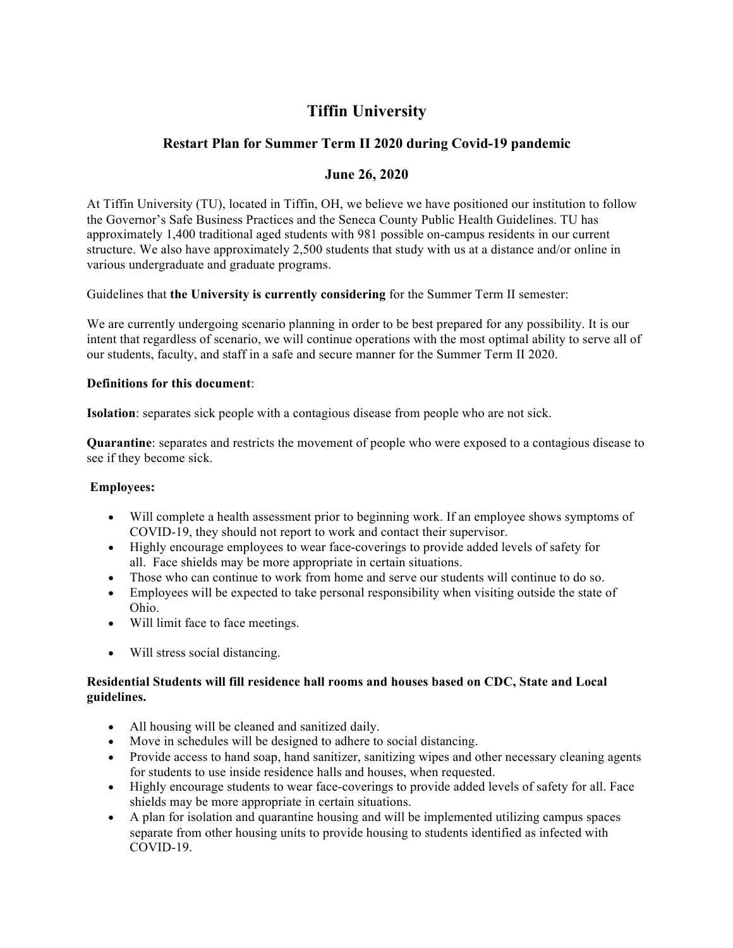# **Tiffin University**

# **Restart Plan for Summer Term II 2020 during Covid-19 pandemic**

# **June 26, 2020**

At Tiffin University (TU), located in Tiffin, OH, we believe we have positioned our institution to follow the Governor's Safe Business Practices and the Seneca County Public Health Guidelines. TU has approximately 1,400 traditional aged students with 981 possible on-campus residents in our current structure. We also have approximately 2,500 students that study with us at a distance and/or online in various undergraduate and graduate programs.

Guidelines that **the University is currently considering** for the Summer Term II semester:

We are currently undergoing scenario planning in order to be best prepared for any possibility. It is our intent that regardless of scenario, we will continue operations with the most optimal ability to serve all of our students, faculty, and staff in a safe and secure manner for the Summer Term II 2020.

#### **Definitions for this document**:

**Isolation**: separates sick people with a contagious disease from people who are not sick.

**Quarantine**: separates and restricts the movement of people who were exposed to a contagious disease to see if they become sick.

## **Employees:**

- Will complete a health assessment prior to beginning work. If an employee shows symptoms of COVID-19, they should not report to work and contact their supervisor.
- Highly encourage employees to wear face-coverings to provide added levels of safety for all. Face shields may be more appropriate in certain situations.
- Those who can continue to work from home and serve our students will continue to do so.
- Employees will be expected to take personal responsibility when visiting outside the state of Ohio.
- Will limit face to face meetings.
- Will stress social distancing.

#### **Residential Students will fill residence hall rooms and houses based on CDC, State and Local guidelines.**

- All housing will be cleaned and sanitized daily.
- Move in schedules will be designed to adhere to social distancing.
- Provide access to hand soap, hand sanitizer, sanitizing wipes and other necessary cleaning agents for students to use inside residence halls and houses, when requested.
- Highly encourage students to wear face-coverings to provide added levels of safety for all. Face shields may be more appropriate in certain situations.
- A plan for isolation and quarantine housing and will be implemented utilizing campus spaces separate from other housing units to provide housing to students identified as infected with COVID-19.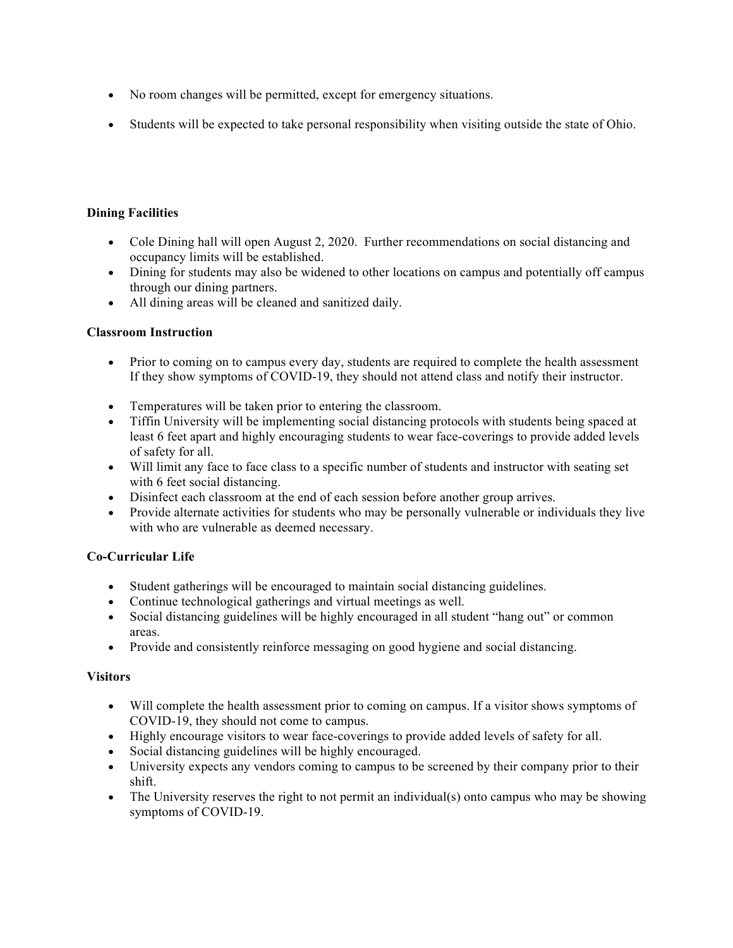- No room changes will be permitted, except for emergency situations.
- Students will be expected to take personal responsibility when visiting outside the state of Ohio.

## **Dining Facilities**

- Cole Dining hall will open August 2, 2020. Further recommendations on social distancing and occupancy limits will be established.
- Dining for students may also be widened to other locations on campus and potentially off campus through our dining partners.
- All dining areas will be cleaned and sanitized daily.

#### **Classroom Instruction**

- Prior to coming on to campus every day, students are required to complete the health assessment If they show symptoms of COVID-19, they should not attend class and notify their instructor.
- Temperatures will be taken prior to entering the classroom.
- Tiffin University will be implementing social distancing protocols with students being spaced at least 6 feet apart and highly encouraging students to wear face-coverings to provide added levels of safety for all.
- Will limit any face to face class to a specific number of students and instructor with seating set with 6 feet social distancing.
- Disinfect each classroom at the end of each session before another group arrives.
- Provide alternate activities for students who may be personally vulnerable or individuals they live with who are vulnerable as deemed necessary.

## **Co-Curricular Life**

- Student gatherings will be encouraged to maintain social distancing guidelines.
- Continue technological gatherings and virtual meetings as well.
- Social distancing guidelines will be highly encouraged in all student "hang out" or common areas.
- Provide and consistently reinforce messaging on good hygiene and social distancing.

#### **Visitors**

- Will complete the health assessment prior to coming on campus. If a visitor shows symptoms of COVID-19, they should not come to campus.
- Highly encourage visitors to wear face-coverings to provide added levels of safety for all.
- Social distancing guidelines will be highly encouraged.
- University expects any vendors coming to campus to be screened by their company prior to their shift.
- The University reserves the right to not permit an individual(s) onto campus who may be showing symptoms of COVID-19.